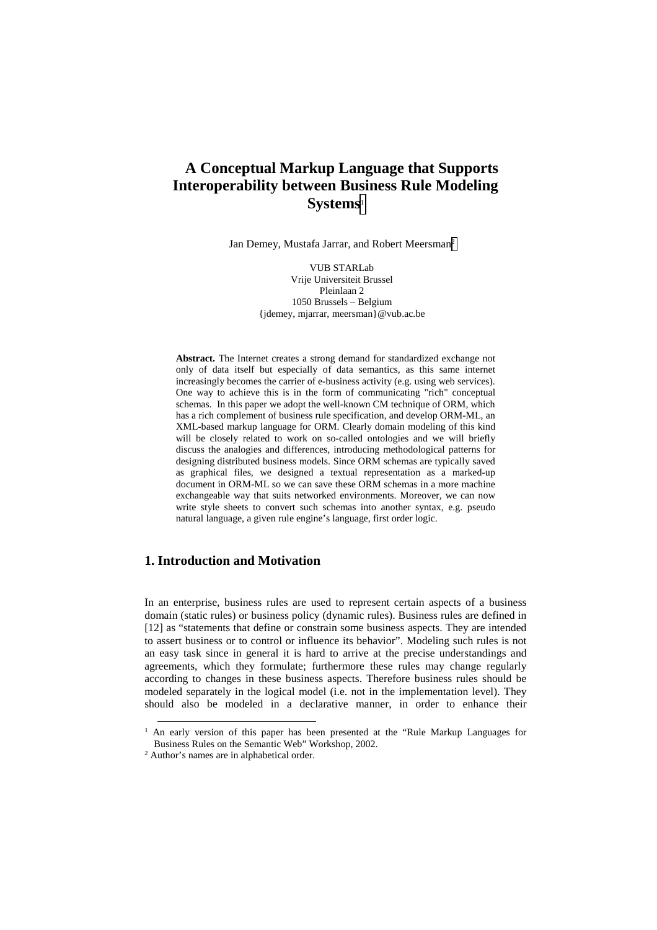# **A Conceptual Markup Language that Supports Interoperability between Business Rule Modeling Systems**<sup>1</sup>

Jan Demey, Mustafa Jarrar, and Robert Meersman2

VUB STARLab Vrije Universiteit Brussel Pleinlaan 2 1050 Brussels – Belgium {jdemey, mjarrar, meersman}@vub.ac.be

**Abstract.** The Internet creates a strong demand for standardized exchange not only of data itself but especially of data semantics, as this same internet increasingly becomes the carrier of e-business activity (e.g. using web services). One way to achieve this is in the form of communicating "rich" conceptual schemas. In this paper we adopt the well-known CM technique of ORM, which has a rich complement of business rule specification, and develop ORM-ML, an XML-based markup language for ORM. Clearly domain modeling of this kind will be closely related to work on so-called ontologies and we will briefly discuss the analogies and differences, introducing methodological patterns for designing distributed business models. Since ORM schemas are typically saved as graphical files, we designed a textual representation as a marked-up document in ORM-ML so we can save these ORM schemas in a more machine exchangeable way that suits networked environments. Moreover, we can now write style sheets to convert such schemas into another syntax, e.g. pseudo natural language, a given rule engine's language, first order logic.

# **1. Introduction and Motivation**

In an enterprise, business rules are used to represent certain aspects of a business domain (static rules) or business policy (dynamic rules). Business rules are defined in [12] as "statements that define or constrain some business aspects. They are intended to assert business or to control or influence its behavior". Modeling such rules is not an easy task since in general it is hard to arrive at the precise understandings and agreements, which they formulate; furthermore these rules may change regularly according to changes in these business aspects. Therefore business rules should be modeled separately in the logical model (i.e. not in the implementation level). They should also be modeled in a declarative manner, in order to enhance their

 <sup>1</sup> An early version of this paper has been presented at the "Rule Markup Languages for Business Rules on the Semantic Web" Workshop, 2002. 2 Author's names are in alphabetical order.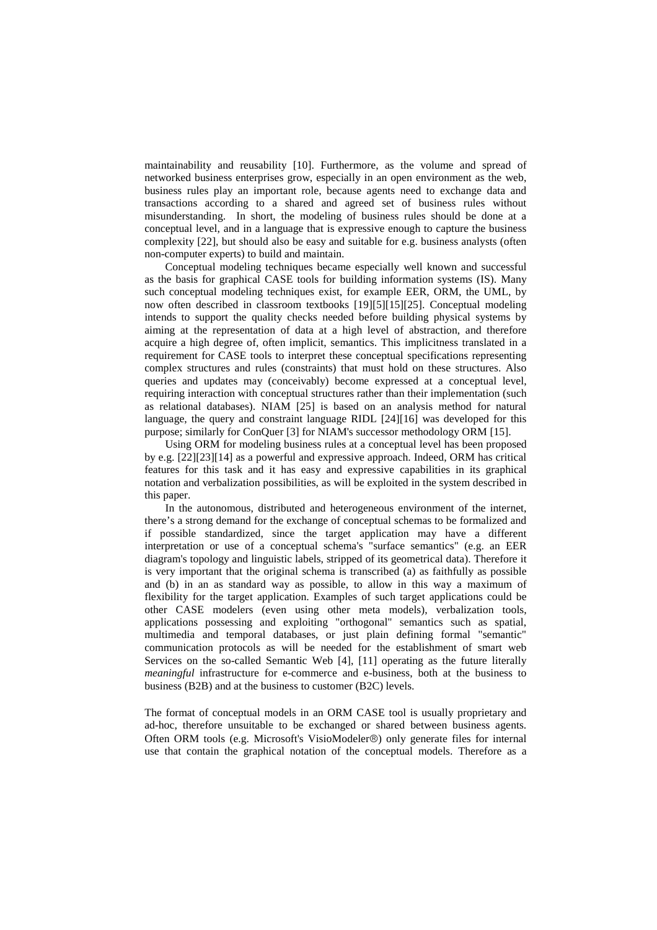maintainability and reusability [10]. Furthermore, as the volume and spread of networked business enterprises grow, especially in an open environment as the web, business rules play an important role, because agents need to exchange data and transactions according to a shared and agreed set of business rules without misunderstanding. In short, the modeling of business rules should be done at a conceptual level, and in a language that is expressive enough to capture the business complexity [22], but should also be easy and suitable for e.g. business analysts (often non-computer experts) to build and maintain.

Conceptual modeling techniques became especially well known and successful as the basis for graphical CASE tools for building information systems (IS). Many such conceptual modeling techniques exist, for example EER, ORM, the UML, by now often described in classroom textbooks [19][5][15][25]. Conceptual modeling intends to support the quality checks needed before building physical systems by aiming at the representation of data at a high level of abstraction, and therefore acquire a high degree of, often implicit, semantics. This implicitness translated in a requirement for CASE tools to interpret these conceptual specifications representing complex structures and rules (constraints) that must hold on these structures. Also queries and updates may (conceivably) become expressed at a conceptual level, requiring interaction with conceptual structures rather than their implementation (such as relational databases). NIAM [25] is based on an analysis method for natural language, the query and constraint language RIDL [24][16] was developed for this purpose; similarly for ConQuer [3] for NIAM's successor methodology ORM [15].

Using ORM for modeling business rules at a conceptual level has been proposed by e.g. [22][23][14] as a powerful and expressive approach. Indeed, ORM has critical features for this task and it has easy and expressive capabilities in its graphical notation and verbalization possibilities, as will be exploited in the system described in this paper.

In the autonomous, distributed and heterogeneous environment of the internet, there's a strong demand for the exchange of conceptual schemas to be formalized and if possible standardized, since the target application may have a different interpretation or use of a conceptual schema's "surface semantics" (e.g. an EER diagram's topology and linguistic labels, stripped of its geometrical data). Therefore it is very important that the original schema is transcribed (a) as faithfully as possible and (b) in an as standard way as possible, to allow in this way a maximum of flexibility for the target application. Examples of such target applications could be other CASE modelers (even using other meta models), verbalization tools, applications possessing and exploiting "orthogonal" semantics such as spatial, multimedia and temporal databases, or just plain defining formal "semantic" communication protocols as will be needed for the establishment of smart web Services on the so-called Semantic Web [4], [11] operating as the future literally *meaningful* infrastructure for e-commerce and e-business, both at the business to business (B2B) and at the business to customer (B2C) levels.

The format of conceptual models in an ORM CASE tool is usually proprietary and ad-hoc, therefore unsuitable to be exchanged or shared between business agents. Often ORM tools (e.g. Microsoft's VisioModeler®) only generate files for internal use that contain the graphical notation of the conceptual models. Therefore as a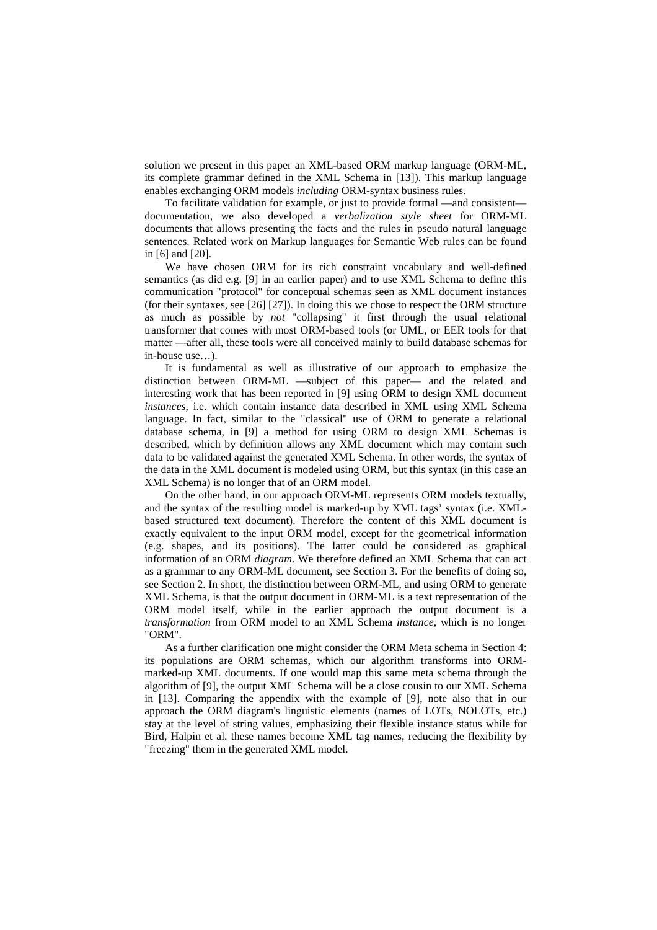solution we present in this paper an XML-based ORM markup language (ORM-ML, its complete grammar defined in the XML Schema in [13]). This markup language enables exchanging ORM models *including* ORM-syntax business rules.

To facilitate validation for example, or just to provide formal —and consistent documentation, we also developed a *verbalization style sheet* for ORM-ML documents that allows presenting the facts and the rules in pseudo natural language sentences. Related work on Markup languages for Semantic Web rules can be found in [6] and [20].

We have chosen ORM for its rich constraint vocabulary and well-defined semantics (as did e.g. [9] in an earlier paper) and to use XML Schema to define this communication "protocol" for conceptual schemas seen as XML document instances (for their syntaxes, see [26] [27]). In doing this we chose to respect the ORM structure as much as possible by *not* "collapsing" it first through the usual relational transformer that comes with most ORM-based tools (or UML, or EER tools for that matter —after all, these tools were all conceived mainly to build database schemas for in-house use…).

It is fundamental as well as illustrative of our approach to emphasize the distinction between ORM-ML —subject of this paper— and the related and interesting work that has been reported in [9] using ORM to design XML document *instances*, i.e. which contain instance data described in XML using XML Schema language. In fact, similar to the "classical" use of ORM to generate a relational database schema, in [9] a method for using ORM to design XML Schemas is described, which by definition allows any XML document which may contain such data to be validated against the generated XML Schema. In other words, the syntax of the data in the XML document is modeled using ORM, but this syntax (in this case an XML Schema) is no longer that of an ORM model.

On the other hand, in our approach ORM-ML represents ORM models textually, and the syntax of the resulting model is marked-up by XML tags' syntax (i.e. XMLbased structured text document). Therefore the content of this XML document is exactly equivalent to the input ORM model, except for the geometrical information (e.g. shapes, and its positions). The latter could be considered as graphical information of an ORM *diagram*. We therefore defined an XML Schema that can act as a grammar to any ORM-ML document, see Section 3. For the benefits of doing so, see Section 2. In short, the distinction between ORM-ML, and using ORM to generate XML Schema, is that the output document in ORM-ML is a text representation of the ORM model itself, while in the earlier approach the output document is a *transformation* from ORM model to an XML Schema *instance*, which is no longer "ORM".

As a further clarification one might consider the ORM Meta schema in Section 4: its populations are ORM schemas, which our algorithm transforms into ORMmarked-up XML documents. If one would map this same meta schema through the algorithm of [9], the output XML Schema will be a close cousin to our XML Schema in [13]. Comparing the appendix with the example of [9], note also that in our approach the ORM diagram's linguistic elements (names of LOTs, NOLOTs, etc.) stay at the level of string values, emphasizing their flexible instance status while for Bird, Halpin et al. these names become XML tag names, reducing the flexibility by "freezing" them in the generated XML model.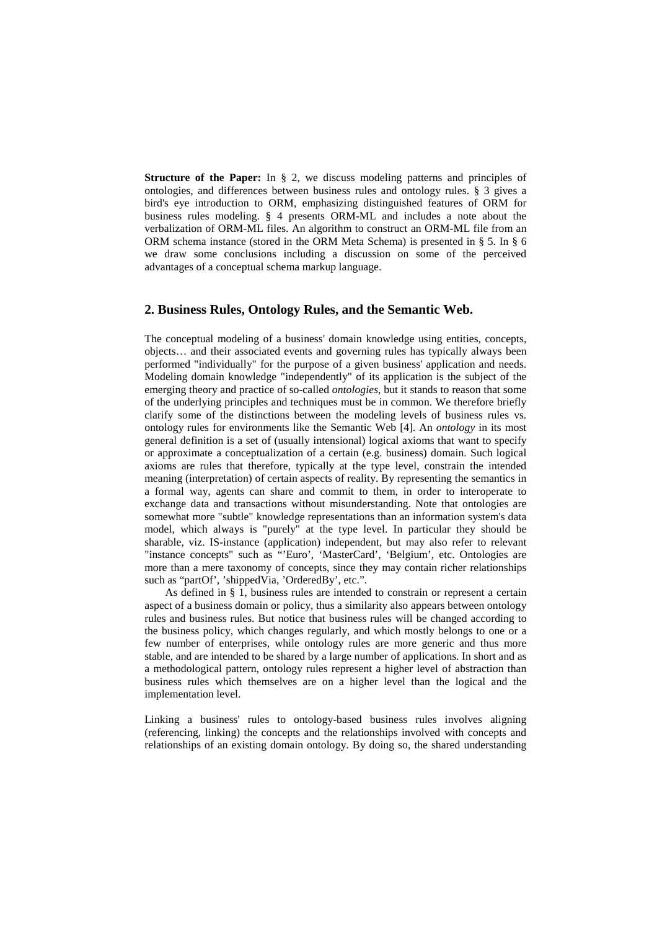**Structure of the Paper:** In § 2, we discuss modeling patterns and principles of ontologies, and differences between business rules and ontology rules. § 3 gives a bird's eye introduction to ORM, emphasizing distinguished features of ORM for business rules modeling. § 4 presents ORM-ML and includes a note about the verbalization of ORM-ML files. An algorithm to construct an ORM-ML file from an ORM schema instance (stored in the ORM Meta Schema) is presented in § 5. In § 6 we draw some conclusions including a discussion on some of the perceived advantages of a conceptual schema markup language.

## **2. Business Rules, Ontology Rules, and the Semantic Web.**

The conceptual modeling of a business' domain knowledge using entities, concepts, objects… and their associated events and governing rules has typically always been performed "individually" for the purpose of a given business' application and needs. Modeling domain knowledge "independently" of its application is the subject of the emerging theory and practice of so-called *ontologies*, but it stands to reason that some of the underlying principles and techniques must be in common. We therefore briefly clarify some of the distinctions between the modeling levels of business rules vs. ontology rules for environments like the Semantic Web [4]. An *ontology* in its most general definition is a set of (usually intensional) logical axioms that want to specify or approximate a conceptualization of a certain (e.g. business) domain. Such logical axioms are rules that therefore, typically at the type level, constrain the intended meaning (interpretation) of certain aspects of reality. By representing the semantics in a formal way, agents can share and commit to them, in order to interoperate to exchange data and transactions without misunderstanding. Note that ontologies are somewhat more "subtle" knowledge representations than an information system's data model, which always is "purely" at the type level. In particular they should be sharable, viz. IS-instance (application) independent, but may also refer to relevant "instance concepts" such as "'Euro', 'MasterCard', 'Belgium', etc. Ontologies are more than a mere taxonomy of concepts, since they may contain richer relationships such as "partOf', 'shippedVia, 'OrderedBy', etc.".

As defined in § 1, business rules are intended to constrain or represent a certain aspect of a business domain or policy, thus a similarity also appears between ontology rules and business rules. But notice that business rules will be changed according to the business policy, which changes regularly, and which mostly belongs to one or a few number of enterprises, while ontology rules are more generic and thus more stable, and are intended to be shared by a large number of applications. In short and as a methodological pattern, ontology rules represent a higher level of abstraction than business rules which themselves are on a higher level than the logical and the implementation level.

Linking a business' rules to ontology-based business rules involves aligning (referencing, linking) the concepts and the relationships involved with concepts and relationships of an existing domain ontology. By doing so, the shared understanding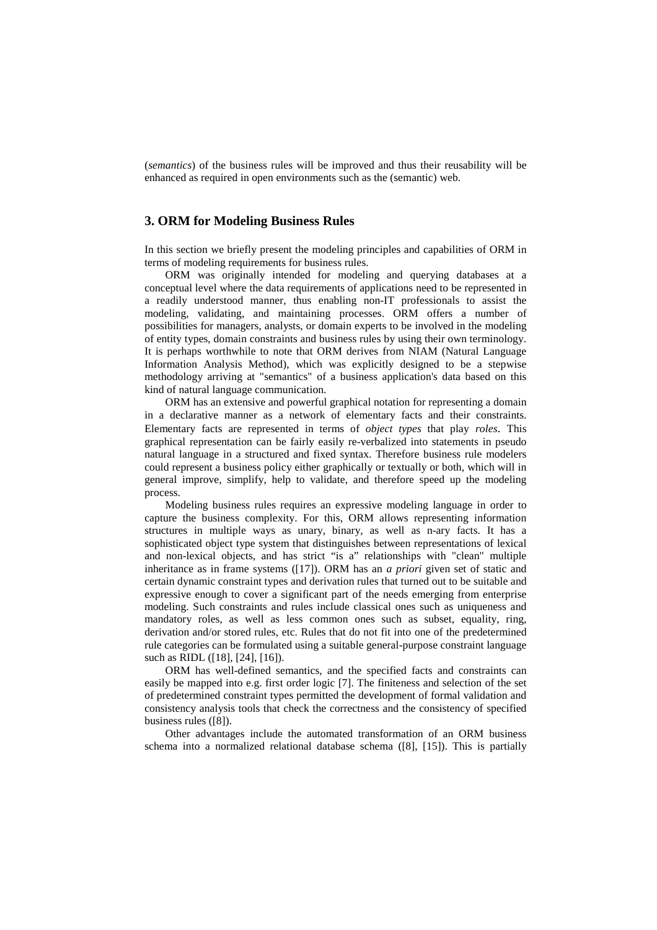(*semantics*) of the business rules will be improved and thus their reusability will be enhanced as required in open environments such as the (semantic) web.

## **3. ORM for Modeling Business Rules**

In this section we briefly present the modeling principles and capabilities of ORM in terms of modeling requirements for business rules.

ORM was originally intended for modeling and querying databases at a conceptual level where the data requirements of applications need to be represented in a readily understood manner, thus enabling non-IT professionals to assist the modeling, validating, and maintaining processes. ORM offers a number of possibilities for managers, analysts, or domain experts to be involved in the modeling of entity types, domain constraints and business rules by using their own terminology. It is perhaps worthwhile to note that ORM derives from NIAM (Natural Language Information Analysis Method), which was explicitly designed to be a stepwise methodology arriving at "semantics" of a business application's data based on this kind of natural language communication.

ORM has an extensive and powerful graphical notation for representing a domain in a declarative manner as a network of elementary facts and their constraints. Elementary facts are represented in terms of *object types* that play *roles*. This graphical representation can be fairly easily re-verbalized into statements in pseudo natural language in a structured and fixed syntax. Therefore business rule modelers could represent a business policy either graphically or textually or both, which will in general improve, simplify, help to validate, and therefore speed up the modeling process.

Modeling business rules requires an expressive modeling language in order to capture the business complexity. For this, ORM allows representing information structures in multiple ways as unary, binary, as well as n-ary facts. It has a sophisticated object type system that distinguishes between representations of lexical and non-lexical objects, and has strict "is a" relationships with "clean" multiple inheritance as in frame systems ([17]). ORM has an *a priori* given set of static and certain dynamic constraint types and derivation rules that turned out to be suitable and expressive enough to cover a significant part of the needs emerging from enterprise modeling. Such constraints and rules include classical ones such as uniqueness and mandatory roles, as well as less common ones such as subset, equality, ring, derivation and/or stored rules, etc. Rules that do not fit into one of the predetermined rule categories can be formulated using a suitable general-purpose constraint language such as RIDL ([18], [24], [16]).

ORM has well-defined semantics, and the specified facts and constraints can easily be mapped into e.g. first order logic [7]. The finiteness and selection of the set of predetermined constraint types permitted the development of formal validation and consistency analysis tools that check the correctness and the consistency of specified business rules ([8]).

Other advantages include the automated transformation of an ORM business schema into a normalized relational database schema ([8], [15]). This is partially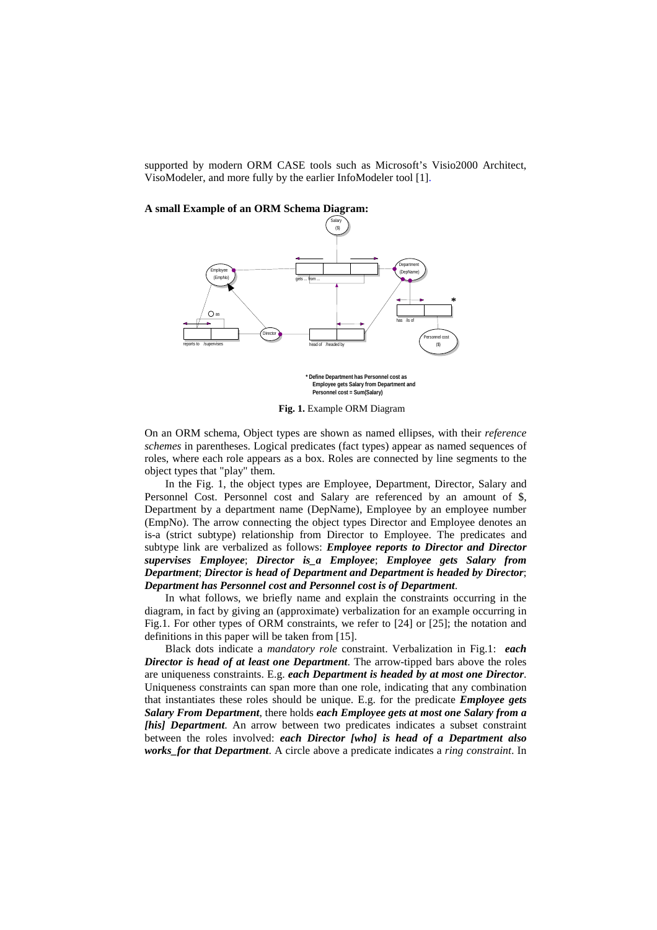supported by modern ORM CASE tools such as Microsoft's Visio2000 Architect, VisoModeler, and more fully by the earlier InfoModeler tool [1].

**A small Example of an ORM Schema Diagram:** 



 **Employee gets Salary from Department and Personnel cost = Sum(Salary)**

**Fig. 1.** Example ORM Diagram

On an ORM schema, Object types are shown as named ellipses, with their *reference schemes* in parentheses. Logical predicates (fact types) appear as named sequences of roles, where each role appears as a box. Roles are connected by line segments to the object types that "play" them.

In the Fig. 1, the object types are Employee, Department, Director, Salary and Personnel Cost. Personnel cost and Salary are referenced by an amount of \$, Department by a department name (DepName), Employee by an employee number (EmpNo). The arrow connecting the object types Director and Employee denotes an is-a (strict subtype) relationship from Director to Employee. The predicates and subtype link are verbalized as follows: *Employee reports to Director and Director supervises Employee*; *Director is\_a Employee*; *Employee gets Salary from Department*; *Director is head of Department and Department is headed by Director*; *Department has Personnel cost and Personnel cost is of Department*.

In what follows, we briefly name and explain the constraints occurring in the diagram, in fact by giving an (approximate) verbalization for an example occurring in Fig.1. For other types of ORM constraints, we refer to [24] or [25]; the notation and definitions in this paper will be taken from [15].

Black dots indicate a *mandatory role* constraint. Verbalization in Fig.1: *each Director is head of at least one Department*. The arrow-tipped bars above the roles are uniqueness constraints. E.g. *each Department is headed by at most one Director*. Uniqueness constraints can span more than one role, indicating that any combination that instantiates these roles should be unique. E.g. for the predicate *Employee gets Salary From Department*, there holds *each Employee gets at most one Salary from a <i>his]* Department. An arrow between two predicates indicates a subset constraint between the roles involved: *each Director [who] is head of a Department also works\_for that Department*. A circle above a predicate indicates a *ring constraint*. In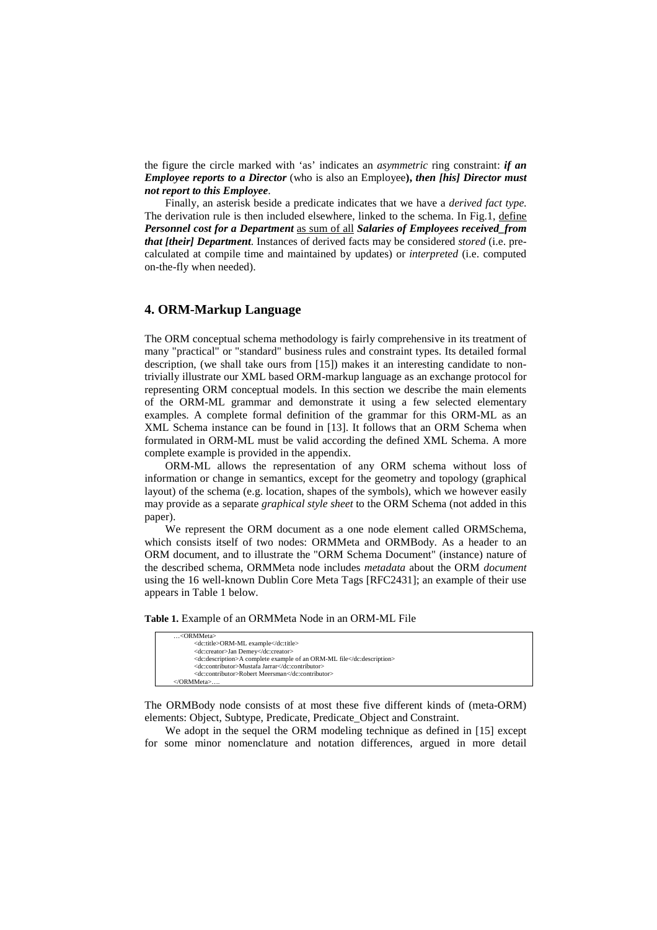the figure the circle marked with 'as' indicates an *asymmetric* ring constraint: *if an Employee reports to a Director* (who is also an Employee**),** *then [his] Director must not report to this Employee*.

Finally, an asterisk beside a predicate indicates that we have a *derived fact type*. The derivation rule is then included elsewhere, linked to the schema. In Fig.1, define *Personnel cost for a Department* as sum of all *Salaries of Employees received\_from that [their] Department*. Instances of derived facts may be considered *stored* (i.e. precalculated at compile time and maintained by updates) or *interpreted* (i.e. computed on-the-fly when needed).

### **4. ORM-Markup Language**

The ORM conceptual schema methodology is fairly comprehensive in its treatment of many "practical" or "standard" business rules and constraint types. Its detailed formal description, (we shall take ours from [15]) makes it an interesting candidate to nontrivially illustrate our XML based ORM-markup language as an exchange protocol for representing ORM conceptual models. In this section we describe the main elements of the ORM-ML grammar and demonstrate it using a few selected elementary examples. A complete formal definition of the grammar for this ORM-ML as an XML Schema instance can be found in [13]. It follows that an ORM Schema when formulated in ORM-ML must be valid according the defined XML Schema. A more complete example is provided in the appendix.

ORM-ML allows the representation of any ORM schema without loss of information or change in semantics, except for the geometry and topology (graphical layout) of the schema (e.g. location, shapes of the symbols), which we however easily may provide as a separate *graphical style sheet* to the ORM Schema (not added in this paper).

We represent the ORM document as a one node element called ORMSchema, which consists itself of two nodes: ORMMeta and ORMBody. As a header to an ORM document, and to illustrate the "ORM Schema Document" (instance) nature of the described schema, ORMMeta node includes *metadata* about the ORM *document* using the 16 well-known Dublin Core Meta Tags [RFC2431]; an example of their use appears in Table 1 below.

**Table 1.** Example of an ORMMeta Node in an ORM-ML File

| $\ldots$ < $\alpha$ RMMeta>                                           |
|-----------------------------------------------------------------------|
| <dc:title>ORM-ML example</dc:title>                                   |
| <dc:creator>Jan Demey</dc:creator>                                    |
| <dc:description>A complete example of an ORM-ML file</dc:description> |
| <dc:contributor>Mustafa Jarrar</dc:contributor>                       |
| <dc:contributor>Robert Meersman</dc:contributor>                      |
| $\langle$ /ORMMeta>                                                   |
|                                                                       |

The ORMBody node consists of at most these five different kinds of (meta-ORM) elements: Object, Subtype, Predicate, Predicate\_Object and Constraint.

We adopt in the sequel the ORM modeling technique as defined in [15] except for some minor nomenclature and notation differences, argued in more detail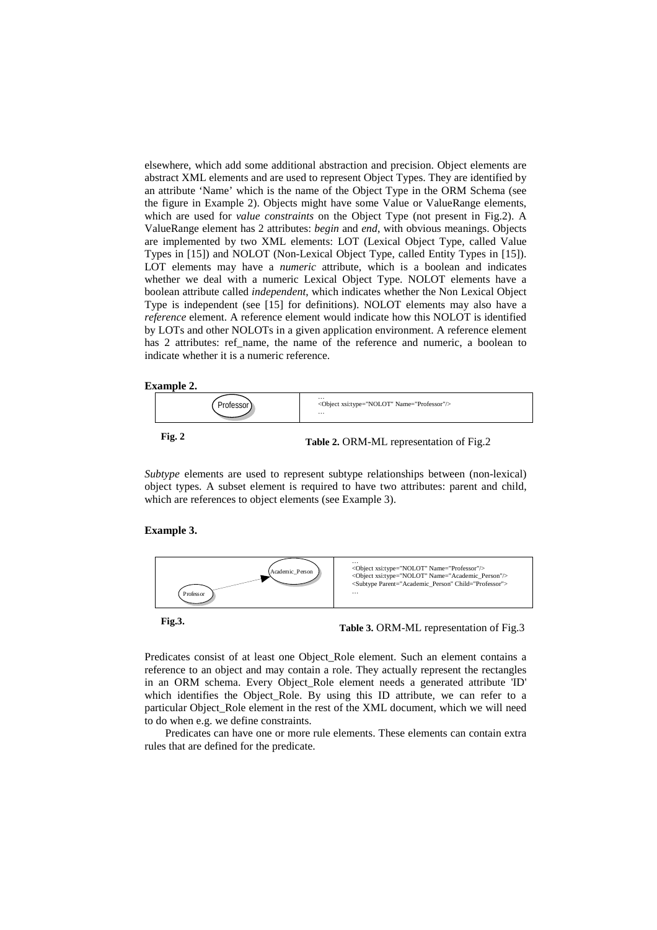elsewhere, which add some additional abstraction and precision. Object elements are abstract XML elements and are used to represent Object Types. They are identified by an attribute 'Name' which is the name of the Object Type in the ORM Schema (see the figure in Example 2). Objects might have some Value or ValueRange elements, which are used for *value constraints* on the Object Type (not present in Fig.2). A ValueRange element has 2 attributes: *begin* and *end*, with obvious meanings. Objects are implemented by two XML elements: LOT (Lexical Object Type, called Value Types in [15]) and NOLOT (Non-Lexical Object Type, called Entity Types in [15]). LOT elements may have a *numeric* attribute, which is a boolean and indicates whether we deal with a numeric Lexical Object Type. NOLOT elements have a boolean attribute called *independent*, which indicates whether the Non Lexical Object Type is independent (see [15] for definitions). NOLOT elements may also have a *reference* element. A reference element would indicate how this NOLOT is identified by LOTs and other NOLOTs in a given application environment. A reference element has 2 attributes: ref name, the name of the reference and numeric, a boolean to indicate whether it is a numeric reference.

### **Example 2.**



**Fig. 2** Table 2. ORM-ML representation of Fig. 2

*Subtype* elements are used to represent subtype relationships between (non-lexical) object types. A subset element is required to have two attributes: parent and child, which are references to object elements (see Example 3).

### **Example 3.**



Predicates consist of at least one Object\_Role element. Such an element contains a reference to an object and may contain a role. They actually represent the rectangles in an ORM schema. Every Object\_Role element needs a generated attribute 'ID' which identifies the Object\_Role. By using this ID attribute, we can refer to a particular Object Role element in the rest of the XML document, which we will need to do when e.g. we define constraints.

Predicates can have one or more rule elements. These elements can contain extra rules that are defined for the predicate.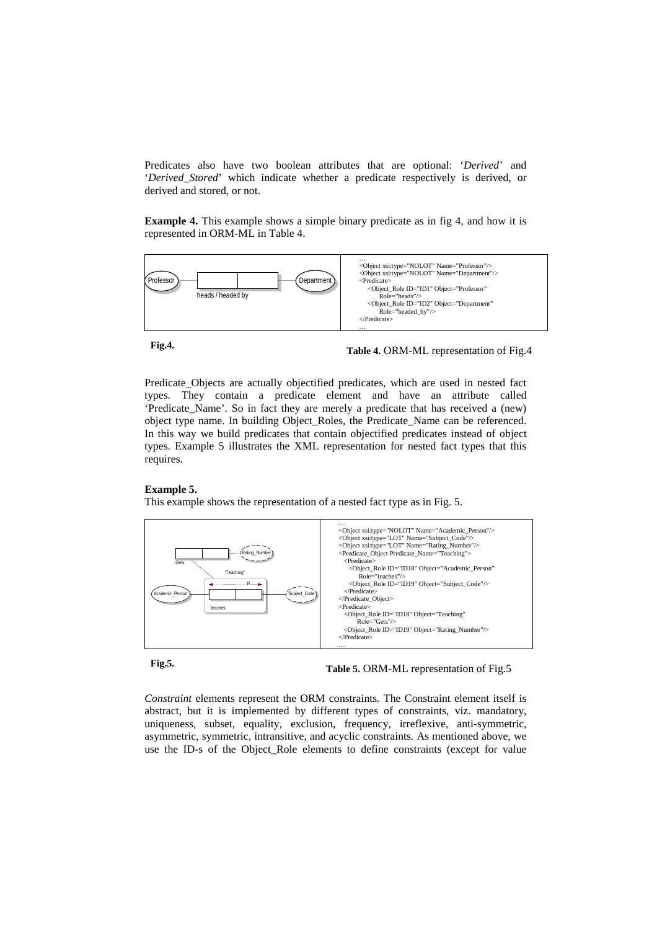Predicates also have two boolean attributes that are optional: '*Derived*' and '*Derived\_Stored*' which indicate whether a predicate respectively is derived, or derived and stored, or not.

**Example 4.** This example shows a simple binary predicate as in fig 4, and how it is represented in ORM-ML in Table 4.



**Fig.4. Table 4.** ORM-ML representation of Fig.4

Predicate\_Objects are actually objectified predicates, which are used in nested fact types. They contain a predicate element and have an attribute called 'Predicate\_Name'. So in fact they are merely a predicate that has received a (new) object type name. In building Object\_Roles, the Predicate\_Name can be referenced. In this way we build predicates that contain objectified predicates instead of object types. Example 5 illustrates the XML representation for nested fact types that this requires.

### **Example 5.**

This example shows the representation of a nested fact type as in Fig. 5.



# **Fig.5. Table 5.** ORM-ML representation of Fig.5

*Constraint* elements represent the ORM constraints. The Constraint element itself is abstract, but it is implemented by different types of constraints, viz. mandatory, uniqueness, subset, equality, exclusion, frequency, irreflexive, anti-symmetric, asymmetric, symmetric, intransitive, and acyclic constraints. As mentioned above, we use the ID-s of the Object\_Role elements to define constraints (except for value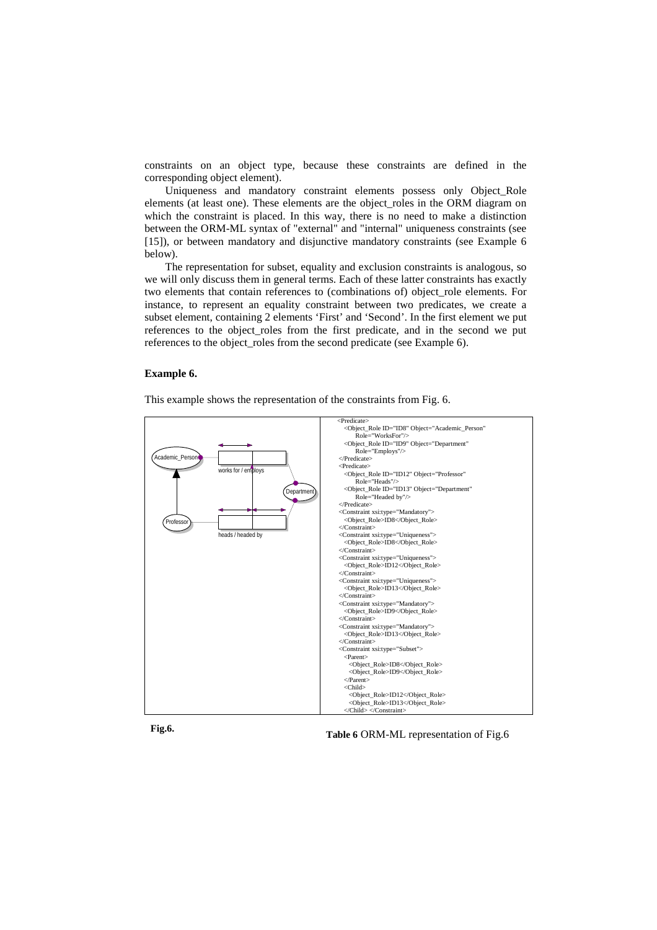constraints on an object type, because these constraints are defined in the corresponding object element).

Uniqueness and mandatory constraint elements possess only Object Role elements (at least one). These elements are the object\_roles in the ORM diagram on which the constraint is placed. In this way, there is no need to make a distinction between the ORM-ML syntax of "external" and "internal" uniqueness constraints (see [15]), or between mandatory and disjunctive mandatory constraints (see Example 6 below).

The representation for subset, equality and exclusion constraints is analogous, so we will only discuss them in general terms. Each of these latter constraints has exactly two elements that contain references to (combinations of) object\_role elements. For instance, to represent an equality constraint between two predicates, we create a subset element, containing 2 elements 'First' and 'Second'. In the first element we put references to the object\_roles from the first predicate, and in the second we put references to the object\_roles from the second predicate (see Example 6).

### **Example 6.**

This example shows the representation of the constraints from Fig. 6.





Fig.6. Table 6 ORM-ML representation of Fig.6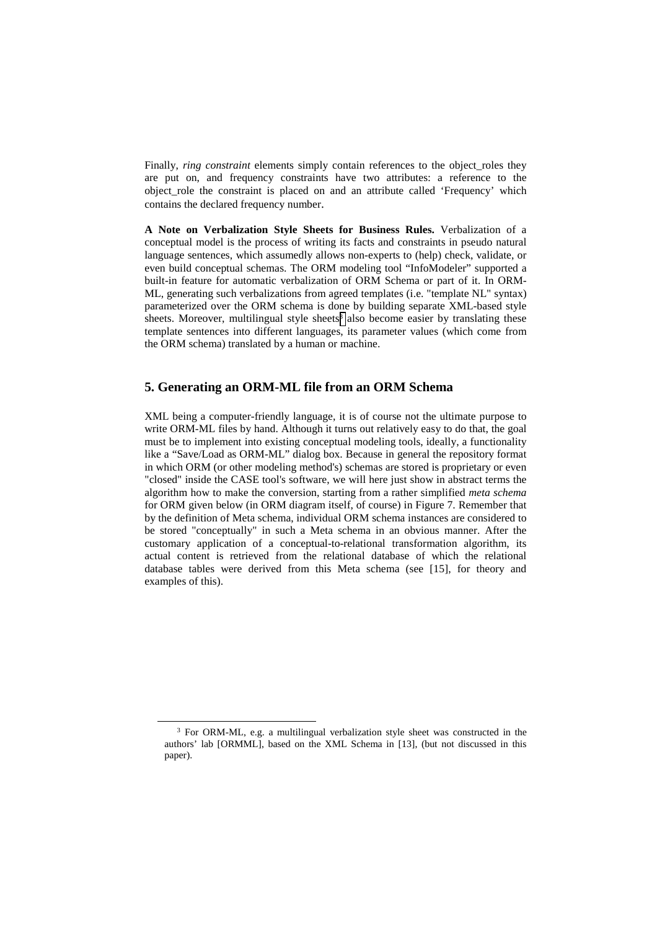Finally, *ring constraint* elements simply contain references to the object\_roles they are put on, and frequency constraints have two attributes: a reference to the object role the constraint is placed on and an attribute called 'Frequency' which contains the declared frequency number.

**A Note on Verbalization Style Sheets for Business Rules.** Verbalization of a conceptual model is the process of writing its facts and constraints in pseudo natural language sentences, which assumedly allows non-experts to (help) check, validate, or even build conceptual schemas. The ORM modeling tool "InfoModeler" supported a built-in feature for automatic verbalization of ORM Schema or part of it. In ORM-ML, generating such verbalizations from agreed templates (i.e. "template NL" syntax) parameterized over the ORM schema is done by building separate XML-based style sheets. Moreover, multilingual style sheets<sup>3</sup> also become easier by translating these template sentences into different languages, its parameter values (which come from the ORM schema) translated by a human or machine.

## **5. Generating an ORM-ML file from an ORM Schema**

XML being a computer-friendly language, it is of course not the ultimate purpose to write ORM-ML files by hand. Although it turns out relatively easy to do that, the goal must be to implement into existing conceptual modeling tools, ideally, a functionality like a "Save/Load as ORM-ML" dialog box. Because in general the repository format in which ORM (or other modeling method's) schemas are stored is proprietary or even "closed" inside the CASE tool's software, we will here just show in abstract terms the algorithm how to make the conversion, starting from a rather simplified *meta schema* for ORM given below (in ORM diagram itself, of course) in Figure 7. Remember that by the definition of Meta schema, individual ORM schema instances are considered to be stored "conceptually" in such a Meta schema in an obvious manner. After the customary application of a conceptual-to-relational transformation algorithm, its actual content is retrieved from the relational database of which the relational database tables were derived from this Meta schema (see [15], for theory and examples of this).

<sup>&</sup>lt;sup>3</sup> For ORM-ML, e.g. a multilingual verbalization style sheet was constructed in the authors' lab [ORMML], based on the XML Schema in [13], (but not discussed in this paper).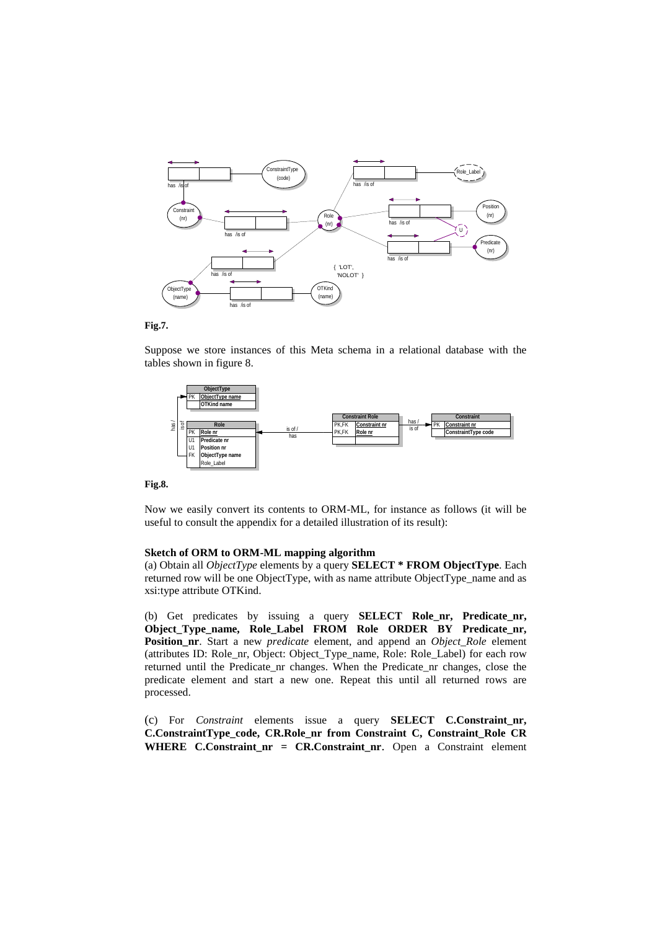



Suppose we store instances of this Meta schema in a relational database with the tables shown in figure 8.



**Fig.8.** 

Now we easily convert its contents to ORM-ML, for instance as follows (it will be useful to consult the appendix for a detailed illustration of its result):

### **Sketch of ORM to ORM-ML mapping algorithm**

(a) Obtain all *ObjectType* elements by a query **SELECT \* FROM ObjectType**. Each returned row will be one ObjectType, with as name attribute ObjectType\_name and as xsi:type attribute OTKind.

(b) Get predicates by issuing a query **SELECT** Role nr, Predicate nr, Object Type name, Role Label FROM Role ORDER BY Predicate nr, **Position\_nr**. Start a new *predicate* element, and append an *Object\_Role* element (attributes ID: Role\_nr, Object: Object\_Type\_name, Role: Role\_Label) for each row returned until the Predicate\_nr changes. When the Predicate\_nr changes, close the predicate element and start a new one. Repeat this until all returned rows are processed.

(c) For *Constraint* elements issue a query **SELECT C.Constraint\_nr, C.ConstraintType\_code, CR.Role\_nr from Constraint C, Constraint\_Role CR**  WHERE C.Constraint nr = CR.Constraint nr. Open a Constraint element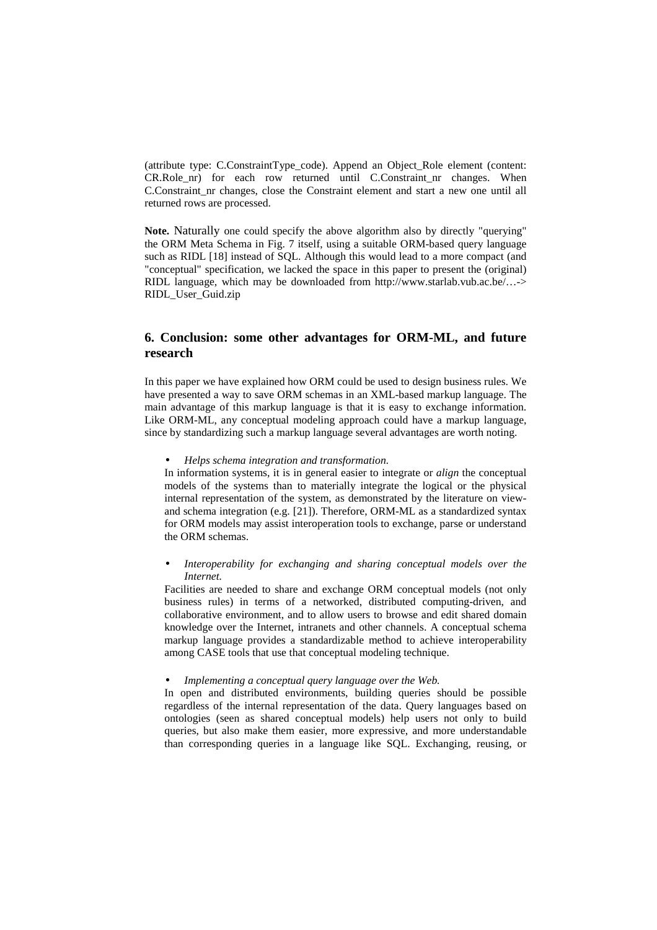(attribute type: C.ConstraintType\_code). Append an Object\_Role element (content: CR.Role nr) for each row returned until C.Constraint nr changes. When C.Constraint\_nr changes, close the Constraint element and start a new one until all returned rows are processed.

**Note.** Naturally one could specify the above algorithm also by directly "querying" the ORM Meta Schema in Fig. 7 itself, using a suitable ORM-based query language such as RIDL [18] instead of SQL. Although this would lead to a more compact (and "conceptual" specification, we lacked the space in this paper to present the (original) RIDL language, which may be downloaded from http://www.starlab.vub.ac.be/…-> RIDL\_User\_Guid.zip

# **6. Conclusion: some other advantages for ORM-ML, and future research**

In this paper we have explained how ORM could be used to design business rules. We have presented a way to save ORM schemas in an XML-based markup language. The main advantage of this markup language is that it is easy to exchange information. Like ORM-ML, any conceptual modeling approach could have a markup language, since by standardizing such a markup language several advantages are worth noting.

• *Helps schema integration and transformation.*

In information systems, it is in general easier to integrate or *align* the conceptual models of the systems than to materially integrate the logical or the physical internal representation of the system, as demonstrated by the literature on viewand schema integration (e.g. [21]). Therefore, ORM-ML as a standardized syntax for ORM models may assist interoperation tools to exchange, parse or understand the ORM schemas.

• *Interoperability for exchanging and sharing conceptual models over the Internet.*

Facilities are needed to share and exchange ORM conceptual models (not only business rules) in terms of a networked, distributed computing-driven, and collaborative environment, and to allow users to browse and edit shared domain knowledge over the Internet, intranets and other channels. A conceptual schema markup language provides a standardizable method to achieve interoperability among CASE tools that use that conceptual modeling technique.

• *Implementing a conceptual query language over the Web.*

In open and distributed environments, building queries should be possible regardless of the internal representation of the data. Query languages based on ontologies (seen as shared conceptual models) help users not only to build queries, but also make them easier, more expressive, and more understandable than corresponding queries in a language like SQL. Exchanging, reusing, or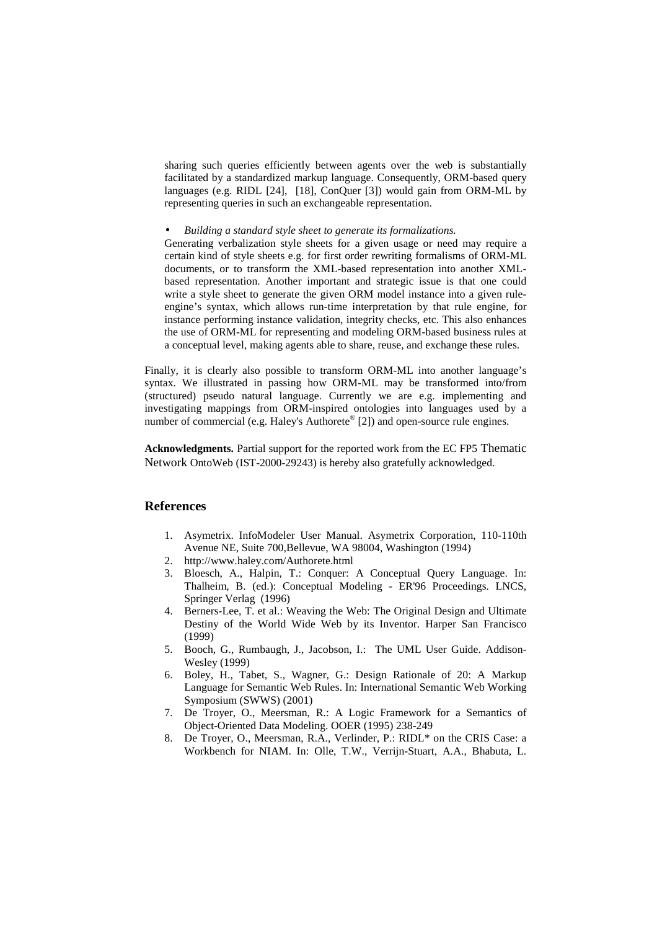sharing such queries efficiently between agents over the web is substantially facilitated by a standardized markup language. Consequently, ORM-based query languages (e.g. RIDL [24], [18], ConQuer [3]) would gain from ORM-ML by representing queries in such an exchangeable representation.

• *Building a standard style sheet to generate its formalizations.*

Generating verbalization style sheets for a given usage or need may require a certain kind of style sheets e.g. for first order rewriting formalisms of ORM-ML documents, or to transform the XML-based representation into another XMLbased representation. Another important and strategic issue is that one could write a style sheet to generate the given ORM model instance into a given ruleengine's syntax, which allows run-time interpretation by that rule engine, for instance performing instance validation, integrity checks, etc. This also enhances the use of ORM-ML for representing and modeling ORM-based business rules at a conceptual level, making agents able to share, reuse, and exchange these rules.

Finally, it is clearly also possible to transform ORM-ML into another language's syntax. We illustrated in passing how ORM-ML may be transformed into/from (structured) pseudo natural language. Currently we are e.g. implementing and investigating mappings from ORM-inspired ontologies into languages used by a number of commercial (e.g. Haley's Authorete<sup>®</sup> [2]) and open-source rule engines.

**Acknowledgments.** Partial support for the reported work from the EC FP5 Thematic Network OntoWeb (IST-2000-29243) is hereby also gratefully acknowledged.

## **References**

- 1. Asymetrix. InfoModeler User Manual. Asymetrix Corporation, 110-110th Avenue NE, Suite 700,Bellevue, WA 98004, Washington (1994)
- 2. http://www.haley.com/Authorete.html
- 3. Bloesch, A., Halpin, T.: Conquer: A Conceptual Query Language. In: Thalheim, B. (ed.): Conceptual Modeling - ER'96 Proceedings. LNCS, Springer Verlag (1996)
- 4. Berners-Lee, T. et al.: Weaving the Web: The Original Design and Ultimate Destiny of the World Wide Web by its Inventor. Harper San Francisco (1999)
- 5. Booch, G., Rumbaugh, J., Jacobson, I.: The UML User Guide. Addison-Wesley (1999)
- 6. Boley, H., Tabet, S., Wagner, G.: Design Rationale of 20: A Markup Language for Semantic Web Rules. In: International Semantic Web Working Symposium (SWWS) (2001)
- 7. De Troyer, O., Meersman, R.: A Logic Framework for a Semantics of Object-Oriented Data Modeling. OOER (1995) 238-249
- 8. De Troyer, O., Meersman, R.A., Verlinder, P.: RIDL\* on the CRIS Case: a Workbench for NIAM. In: Olle, T.W., Verrijn-Stuart, A.A., Bhabuta, L.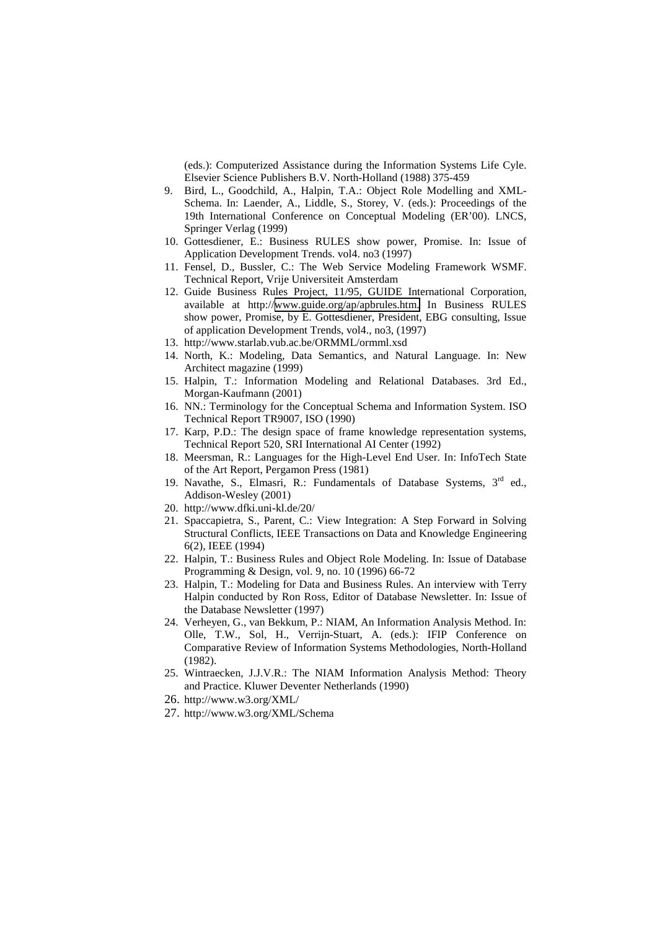(eds.): Computerized Assistance during the Information Systems Life Cyle. Elsevier Science Publishers B.V. North-Holland (1988) 375-459

- 9. Bird, L., Goodchild, A., Halpin, T.A.: Object Role Modelling and XML-Schema. In: Laender, A., Liddle, S., Storey, V. (eds.): Proceedings of the 19th International Conference on Conceptual Modeling (ER'00). LNCS, Springer Verlag (1999)
- 10. Gottesdiener, E.: Business RULES show power, Promise. In: Issue of Application Development Trends. vol4. no3 (1997)
- 11. Fensel, D., Bussler, C.: The Web Service Modeling Framework WSMF. Technical Report, Vrije Universiteit Amsterdam
- 12. Guide Business Rules Project, 11/95, GUIDE International Corporation, available at http://[www.guide.org/ap/apbrules.htm.](http://www.guide.org/ap/apbrules.htm) In Business RULES show power, Promise, by E. Gottesdiener, President, EBG consulting, Issue of application Development Trends, vol4., no3, (1997)
- 13. http://www.starlab.vub.ac.be/ORMML/ormml.xsd
- 14. North, K.: Modeling, Data Semantics, and Natural Language. In: New Architect magazine (1999)
- 15. Halpin, T.: Information Modeling and Relational Databases. 3rd Ed., Morgan-Kaufmann (2001)
- 16. NN.: Terminology for the Conceptual Schema and Information System. ISO Technical Report TR9007, ISO (1990)
- 17. Karp, P.D.: The design space of frame knowledge representation systems, Technical Report 520, SRI International AI Center (1992)
- 18. Meersman, R.: Languages for the High-Level End User. In: InfoTech State of the Art Report, Pergamon Press (1981)
- 19. Navathe, S., Elmasri, R.: Fundamentals of Database Systems, 3<sup>rd</sup> ed., Addison-Wesley (2001)
- 20. http://www.dfki.uni-kl.de/20/
- 21. Spaccapietra, S., Parent, C.: View Integration: A Step Forward in Solving Structural Conflicts, IEEE Transactions on Data and Knowledge Engineering 6(2), IEEE (1994)
- 22. Halpin, T.: Business Rules and Object Role Modeling. In: Issue of Database Programming & Design, vol. 9, no. 10 (1996) 66-72
- 23. Halpin, T.: Modeling for Data and Business Rules. An interview with Terry Halpin conducted by Ron Ross, Editor of Database Newsletter. In: Issue of the Database Newsletter (1997)
- 24. Verheyen, G., van Bekkum, P.: NIAM, An Information Analysis Method. In: Olle, T.W., Sol, H., Verrijn-Stuart, A. (eds.): IFIP Conference on Comparative Review of Information Systems Methodologies, North-Holland (1982).
- 25. Wintraecken, J.J.V.R.: The NIAM Information Analysis Method: Theory and Practice. Kluwer Deventer Netherlands (1990)
- 26. http://www.w3.org/XML/
- 27. http://www.w3.org/XML/Schema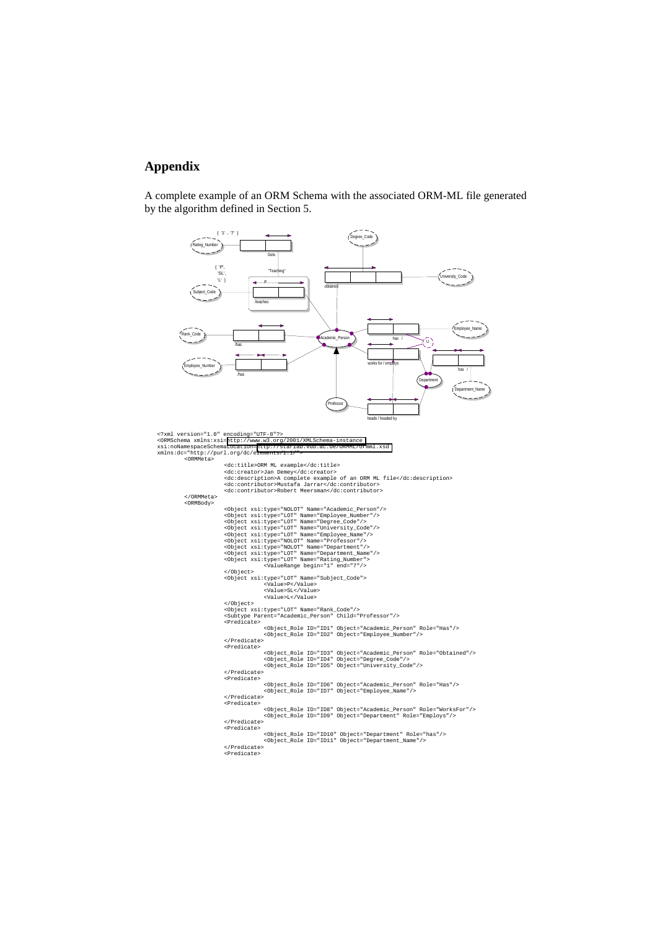# **Appendix**

A complete example of an ORM Schema with the associated ORM-ML file generated by the algorithm defined in Section 5.